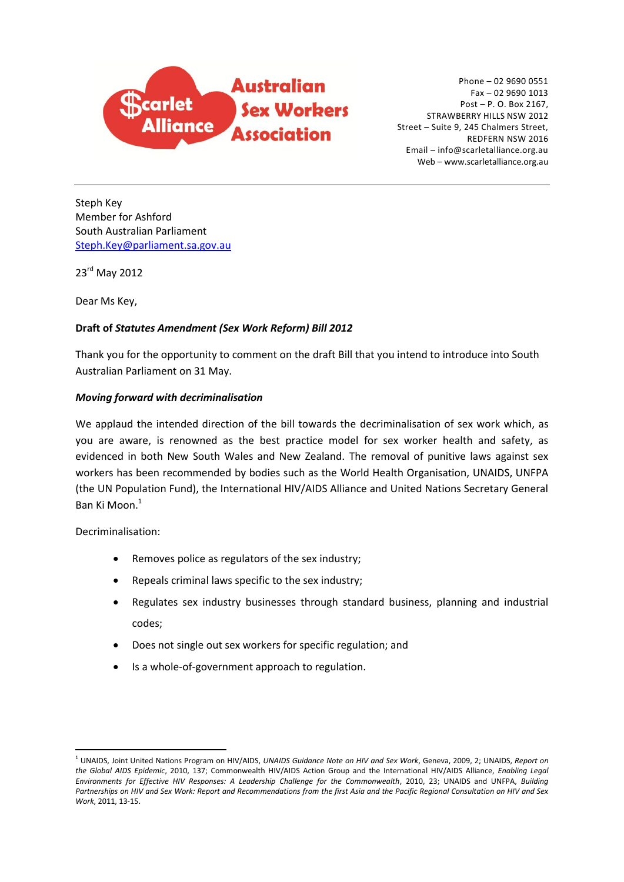

Phone – 02 9690 0551 Fax – 02 9690 1013 Post – P. O. Box 2167, STRAWBERRY HILLS NSW 2012 Street – Suite 9, 245 Chalmers Street, REDFERN NSW 2016 Email – info@scarletalliance.org.au Web – www.scarletalliance.org.au

Steph Key Member for Ashford South Australian Parliament [Steph.Key@parliament.sa.gov.au](mailto:Steph.Key@parliament.sa.gov.au)

23 rd May 2012

Dear Ms Key,

# **Draft of** *Statutes Amendment (Sex Work Reform) Bill 2012*

Thank you for the opportunity to comment on the draft Bill that you intend to introduce into South Australian Parliament on 31 May.

# *Moving forward with decriminalisation*

We applaud the intended direction of the bill towards the decriminalisation of sex work which, as you are aware, is renowned as the best practice model for sex worker health and safety, as evidenced in both New South Wales and New Zealand. The removal of punitive laws against sex workers has been recommended by bodies such as the World Health Organisation, UNAIDS, UNFPA (the UN Population Fund), the International HIV/AIDS Alliance and United Nations Secretary General Ban Ki Moon. 1

Decriminalisation:

- Removes police as regulators of the sex industry;
- Repeals criminal laws specific to the sex industry;
- Regulates sex industry businesses through standard business, planning and industrial codes;
- Does not single out sex workers for specific regulation; and
- Is a whole-of-government approach to regulation.

<sup>1</sup> UNAIDS, Joint United Nations Program on HIV/AIDS, *UNAIDS Guidance Note on HIV and Sex Work*, Geneva, 2009, 2; UNAIDS, *Report on the Global AIDS Epidemic*, 2010, 137; Commonwealth HIV/AIDS Action Group and the International HIV/AIDS Alliance, *Enabling Legal Environments for Effective HIV Responses: A Leadership Challenge for the Commonwealth*, 2010, 23; UNAIDS and UNFPA, *Building Partnerships on HIV and Sex Work: Report and Recommendations from the first Asia and the Pacific Regional Consultation on HIV and Sex Work*, 2011, 13-15.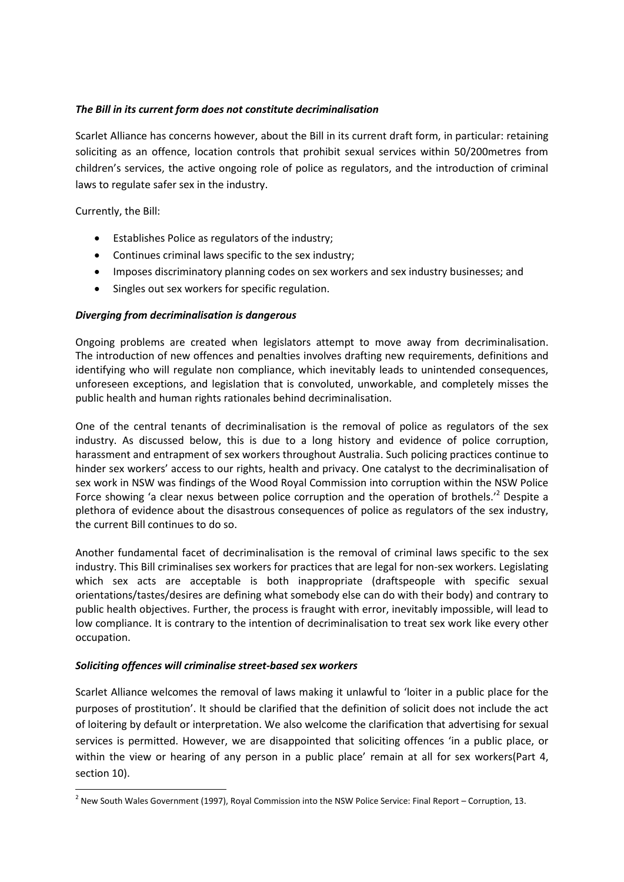## *The Bill in its current form does not constitute decriminalisation*

Scarlet Alliance has concerns however, about the Bill in its current draft form, in particular: retaining soliciting as an offence, location controls that prohibit sexual services within 50/200metres from children's services, the active ongoing role of police as regulators, and the introduction of criminal laws to regulate safer sex in the industry.

Currently, the Bill:

**.** 

- Establishes Police as regulators of the industry;
- Continues criminal laws specific to the sex industry;
- Imposes discriminatory planning codes on sex workers and sex industry businesses; and
- Singles out sex workers for specific regulation.

# *Diverging from decriminalisation is dangerous*

Ongoing problems are created when legislators attempt to move away from decriminalisation. The introduction of new offences and penalties involves drafting new requirements, definitions and identifying who will regulate non compliance, which inevitably leads to unintended consequences, unforeseen exceptions, and legislation that is convoluted, unworkable, and completely misses the public health and human rights rationales behind decriminalisation.

One of the central tenants of decriminalisation is the removal of police as regulators of the sex industry. As discussed below, this is due to a long history and evidence of police corruption, harassment and entrapment of sex workers throughout Australia. Such policing practices continue to hinder sex workers' access to our rights, health and privacy. One catalyst to the decriminalisation of sex work in NSW was findings of the Wood Royal Commission into corruption within the NSW Police Force showing 'a clear nexus between police corruption and the operation of brothels.<sup>''</sup> Despite a plethora of evidence about the disastrous consequences of police as regulators of the sex industry, the current Bill continues to do so.

Another fundamental facet of decriminalisation is the removal of criminal laws specific to the sex industry. This Bill criminalises sex workers for practices that are legal for non-sex workers. Legislating which sex acts are acceptable is both inappropriate (draftspeople with specific sexual orientations/tastes/desires are defining what somebody else can do with their body) and contrary to public health objectives. Further, the process is fraught with error, inevitably impossible, will lead to low compliance. It is contrary to the intention of decriminalisation to treat sex work like every other occupation.

### *Soliciting offences will criminalise street-based sex workers*

Scarlet Alliance welcomes the removal of laws making it unlawful to 'loiter in a public place for the purposes of prostitution'. It should be clarified that the definition of solicit does not include the act of loitering by default or interpretation. We also welcome the clarification that advertising for sexual services is permitted. However, we are disappointed that soliciting offences 'in a public place, or within the view or hearing of any person in a public place' remain at all for sex workers(Part 4, section 10).

 $^2$  New South Wales Government (1997), Royal Commission into the NSW Police Service: Final Report – Corruption, 13.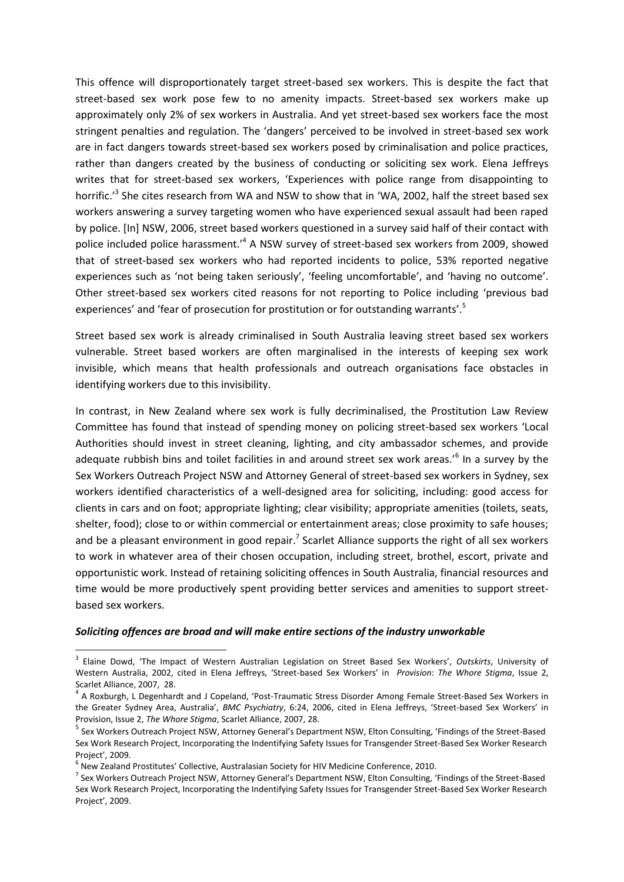This offence will disproportionately target street-based sex workers. This is despite the fact that street-based sex work pose few to no amenity impacts. Street-based sex workers make up approximately only 2% of sex workers in Australia. And yet street-based sex workers face the most stringent penalties and regulation. The 'dangers' perceived to be involved in street-based sex work are in fact dangers towards street-based sex workers posed by criminalisation and police practices, rather than dangers created by the business of conducting or soliciting sex work. Elena Jeffreys writes that for street-based sex workers, 'Experiences with police range from disappointing to horrific.<sup>,3</sup> She cites research from WA and NSW to show that in 'WA, 2002, half the street based sex workers answering a survey targeting women who have experienced sexual assault had been raped by police. [In] NSW, 2006, street based workers questioned in a survey said half of their contact with police included police harassment.<sup>4</sup> A NSW survey of street-based sex workers from 2009, showed that of street-based sex workers who had reported incidents to police, 53% reported negative experiences such as 'not being taken seriously', 'feeling uncomfortable', and 'having no outcome'. Other street-based sex workers cited reasons for not reporting to Police including 'previous bad experiences' and 'fear of prosecution for prostitution or for outstanding warrants'.<sup>5</sup>

Street based sex work is already criminalised in South Australia leaving street based sex workers vulnerable. Street based workers are often marginalised in the interests of keeping sex work invisible, which means that health professionals and outreach organisations face obstacles in identifying workers due to this invisibility.

In contrast, in New Zealand where sex work is fully decriminalised, the Prostitution Law Review Committee has found that instead of spending money on policing street-based sex workers 'Local Authorities should invest in street cleaning, lighting, and city ambassador schemes, and provide adequate rubbish bins and toilet facilities in and around street sex work areas.<sup>,6</sup> In a survey by the Sex Workers Outreach Project NSW and Attorney General of street-based sex workers in Sydney, sex workers identified characteristics of a well-designed area for soliciting, including: good access for clients in cars and on foot; appropriate lighting; clear visibility; appropriate amenities (toilets, seats, shelter, food); close to or within commercial or entertainment areas; close proximity to safe houses; and be a pleasant environment in good repair.<sup>7</sup> Scarlet Alliance supports the right of all sex workers to work in whatever area of their chosen occupation, including street, brothel, escort, private and opportunistic work. Instead of retaining soliciting offences in South Australia, financial resources and time would be more productively spent providing better services and amenities to support streetbased sex workers.

#### *Soliciting offences are broad and will make entire sections of the industry unworkable*

<sup>3</sup> Elaine Dowd, 'The Impact of Western Australian Legislation on Street Based Sex Workers', *Outskirts*, University of Western Australia, 2002, cited in Elena Jeffreys, 'Street-based Sex Workers' in *Provision*: *The Whore Stigma*, Issue 2, Scarlet Alliance, 2007, 28.

<sup>&</sup>lt;sup>4</sup> A Roxburgh, L Degenhardt and J Copeland, 'Post-Traumatic Stress Disorder Among Female Street-Based Sex Workers in the Greater Sydney Area, Australia', *BMC Psychiatry*, 6:24, 2006, cited in Elena Jeffreys, 'Street-based Sex Workers' in Provision, Issue 2, *The Whore Stigma*, Scarlet Alliance, 2007, 28.

<sup>&</sup>lt;sup>5</sup> Sex Workers Outreach Project NSW, Attorney General's Department NSW, Elton Consulting, 'Findings of the Street-Based Sex Work Research Project, Incorporating the Indentifying Safety Issues for Transgender Street-Based Sex Worker Research Project', 2009.

<sup>6</sup> New Zealand Prostitutes' Collective, Australasian Society for HIV Medicine Conference, 2010.

<sup>&</sup>lt;sup>7</sup> Sex Workers Outreach Project NSW, Attorney General's Department NSW, Elton Consulting, 'Findings of the Street-Based Sex Work Research Project, Incorporating the Indentifying Safety Issues for Transgender Street-Based Sex Worker Research Project', 2009.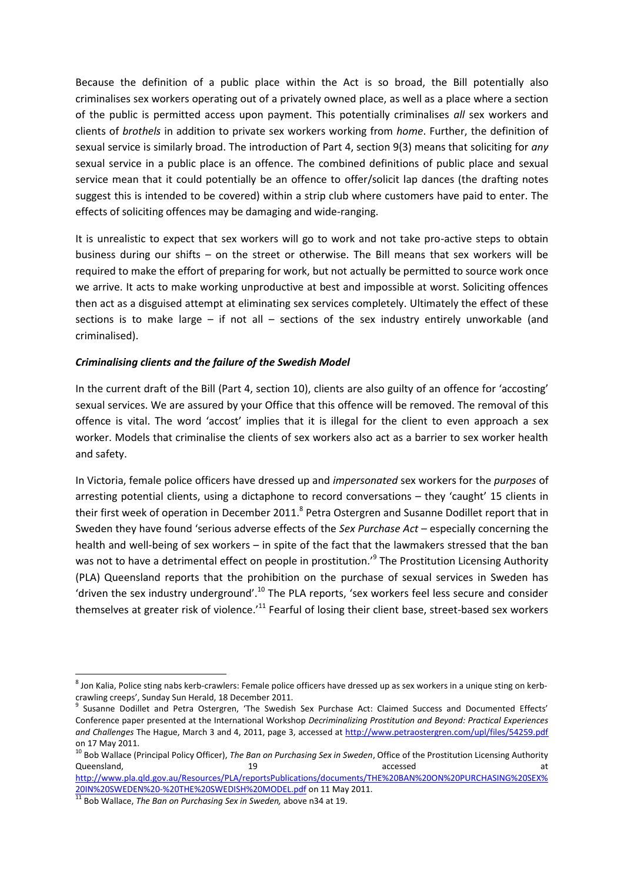Because the definition of a public place within the Act is so broad, the Bill potentially also criminalises sex workers operating out of a privately owned place, as well as a place where a section of the public is permitted access upon payment. This potentially criminalises *all* sex workers and clients of *brothels* in addition to private sex workers working from *home*. Further, the definition of sexual service is similarly broad. The introduction of Part 4, section 9(3) means that soliciting for *any*  sexual service in a public place is an offence. The combined definitions of public place and sexual service mean that it could potentially be an offence to offer/solicit lap dances (the drafting notes suggest this is intended to be covered) within a strip club where customers have paid to enter. The effects of soliciting offences may be damaging and wide-ranging.

It is unrealistic to expect that sex workers will go to work and not take pro-active steps to obtain business during our shifts – on the street or otherwise. The Bill means that sex workers will be required to make the effort of preparing for work, but not actually be permitted to source work once we arrive. It acts to make working unproductive at best and impossible at worst. Soliciting offences then act as a disguised attempt at eliminating sex services completely. Ultimately the effect of these sections is to make large – if not all – sections of the sex industry entirely unworkable (and criminalised).

### *Criminalising clients and the failure of the Swedish Model*

In the current draft of the Bill (Part 4, section 10), clients are also guilty of an offence for 'accosting' sexual services. We are assured by your Office that this offence will be removed. The removal of this offence is vital. The word 'accost' implies that it is illegal for the client to even approach a sex worker. Models that criminalise the clients of sex workers also act as a barrier to sex worker health and safety.

In Victoria, female police officers have dressed up and *impersonated* sex workers for the *purposes* of arresting potential clients, using a dictaphone to record conversations – they 'caught' 15 clients in their first week of operation in December 2011.<sup>8</sup> Petra Ostergren and Susanne Dodillet report that in Sweden they have found 'serious adverse effects of the *Sex Purchase Act* – especially concerning the health and well-being of sex workers – in spite of the fact that the lawmakers stressed that the ban was not to have a detrimental effect on people in prostitution.'<sup>9</sup> The Prostitution Licensing Authority (PLA) Queensland reports that the prohibition on the purchase of sexual services in Sweden has 'driven the sex industry underground'.<sup>10</sup> The PLA reports, 'sex workers feel less secure and consider themselves at greater risk of violence.<sup>'11</sup> Fearful of losing their client base, street-based sex workers

<sup>&</sup>lt;sup>8</sup> Jon Kalia, Police sting nabs kerb-crawlers: Female police officers have dressed up as sex workers in a unique sting on kerbcrawling creeps', Sunday Sun Herald, 18 December 2011.

<sup>9</sup> Susanne Dodillet and Petra Ostergren, 'The Swedish Sex Purchase Act: Claimed Success and Documented Effects' Conference paper presented at the International Workshop *Decriminalizing Prostitution and Beyond: Practical Experiences and Challenges* The Hague, March 3 and 4, 2011, page 3, accessed a[t http://www.petraostergren.com/upl/files/54259.pdf](http://www.petraostergren.com/upl/files/54259.pdf) on 17 May 2011.

<sup>10</sup> Bob Wallace (Principal Policy Officer), *The Ban on Purchasing Sex in Sweden*, Office of the Prostitution Licensing Authority Queensland, and the contract of the contract of the contract of the contract of the contract of the contract of the contract of the contract of the contract of the contract of the contract of the contract of the contract o

[http://www.pla.qld.gov.au/Resources/PLA/reportsPublications/documents/THE%20BAN%20ON%20PURCHASING%20SEX%](http://www.pla.qld.gov.au/Resources/PLA/reportsPublications/documents/THEBAN%20ON%20PURCHASING%20SEX%20IN%20SWEDEN%20-%20THE%20SWEDISH%20MODEL.pdf) [20IN%20SWEDEN%20-%20THE%20SWEDISH%20MODEL.pdf](http://www.pla.qld.gov.au/Resources/PLA/reportsPublications/documents/THEBAN%20ON%20PURCHASING%20SEX%20IN%20SWEDEN%20-%20THE%20SWEDISH%20MODEL.pdf) on 11 May 2011.

<sup>11</sup> Bob Wallace, *The Ban on Purchasing Sex in Sweden,* above n34 at 19.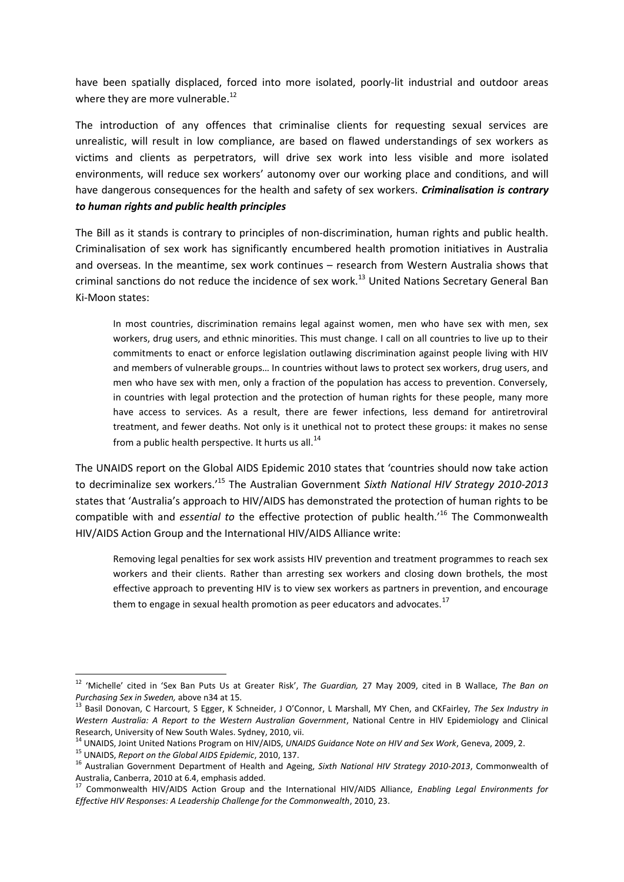have been spatially displaced, forced into more isolated, poorly-lit industrial and outdoor areas where they are more vulnerable.<sup>12</sup>

The introduction of any offences that criminalise clients for requesting sexual services are unrealistic, will result in low compliance, are based on flawed understandings of sex workers as victims and clients as perpetrators, will drive sex work into less visible and more isolated environments, will reduce sex workers' autonomy over our working place and conditions, and will have dangerous consequences for the health and safety of sex workers. *Criminalisation is contrary to human rights and public health principles* 

The Bill as it stands is contrary to principles of non-discrimination, human rights and public health. Criminalisation of sex work has significantly encumbered health promotion initiatives in Australia and overseas. In the meantime, sex work continues – research from Western Australia shows that criminal sanctions do not reduce the incidence of sex work.<sup>13</sup> United Nations Secretary General Ban Ki-Moon states:

In most countries, discrimination remains legal against women, men who have sex with men, sex workers, drug users, and ethnic minorities. This must change. I call on all countries to live up to their commitments to enact or enforce legislation outlawing discrimination against people living with HIV and members of vulnerable groups… In countries without laws to protect sex workers, drug users, and men who have sex with men, only a fraction of the population has access to prevention. Conversely, in countries with legal protection and the protection of human rights for these people, many more have access to services. As a result, there are fewer infections, less demand for antiretroviral treatment, and fewer deaths. Not only is it unethical not to protect these groups: it makes no sense from a public health perspective. It hurts us all. $^{14}$ 

The UNAIDS report on the Global AIDS Epidemic 2010 states that 'countries should now take action to decriminalize sex workers.'<sup>15</sup> The Australian Government *Sixth National HIV Strategy 2010-2013* states that 'Australia's approach to HIV/AIDS has demonstrated the protection of human rights to be compatible with and *essential to* the effective protection of public health.'<sup>16</sup> The Commonwealth HIV/AIDS Action Group and the International HIV/AIDS Alliance write:

Removing legal penalties for sex work assists HIV prevention and treatment programmes to reach sex workers and their clients. Rather than arresting sex workers and closing down brothels, the most effective approach to preventing HIV is to view sex workers as partners in prevention, and encourage them to engage in sexual health promotion as peer educators and advocates.<sup>17</sup>

<sup>12</sup> 'Michelle' cited in 'Sex Ban Puts Us at Greater Risk', *The Guardian,* 27 May 2009, cited in B Wallace, *The Ban on Purchasing Sex in Sweden,* above n34 at 15.

<sup>13</sup> Basil Donovan, C Harcourt, S Egger, K Schneider, J O'Connor, L Marshall, MY Chen, and CKFairley, *The Sex Industry in Western Australia: A Report to the Western Australian Government*, National Centre in HIV Epidemiology and Clinical Research, University of New South Wales. Sydney, 2010, vii.

<sup>14</sup> UNAIDS, Joint United Nations Program on HIV/AIDS, *UNAIDS Guidance Note on HIV and Sex Work*, Geneva, 2009, 2.

<sup>15</sup> UNAIDS, *Report on the Global AIDS Epidemic*, 2010, 137.

<sup>16</sup> Australian Government Department of Health and Ageing, *Sixth National HIV Strategy 2010-2013*, Commonwealth of Australia, Canberra, 2010 at 6.4, emphasis added.

<sup>17</sup> Commonwealth HIV/AIDS Action Group and the International HIV/AIDS Alliance, *Enabling Legal Environments for Effective HIV Responses: A Leadership Challenge for the Commonwealth*, 2010, 23.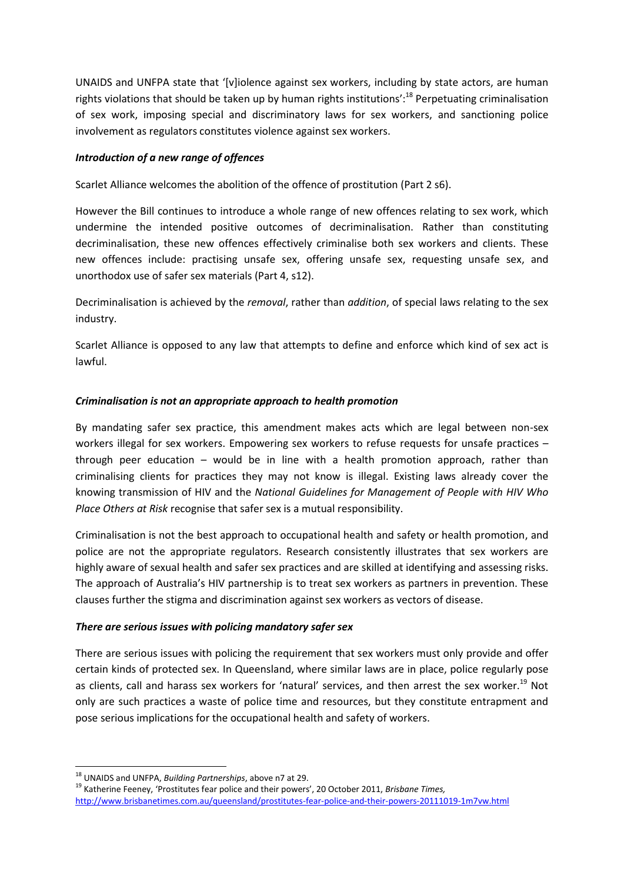UNAIDS and UNFPA state that '[v]iolence against sex workers, including by state actors, are human rights violations that should be taken up by human rights institutions':<sup>18</sup> Perpetuating criminalisation of sex work, imposing special and discriminatory laws for sex workers, and sanctioning police involvement as regulators constitutes violence against sex workers.

## *Introduction of a new range of offences*

Scarlet Alliance welcomes the abolition of the offence of prostitution (Part 2 s6).

However the Bill continues to introduce a whole range of new offences relating to sex work, which undermine the intended positive outcomes of decriminalisation. Rather than constituting decriminalisation, these new offences effectively criminalise both sex workers and clients. These new offences include: practising unsafe sex, offering unsafe sex, requesting unsafe sex, and unorthodox use of safer sex materials (Part 4, s12).

Decriminalisation is achieved by the *removal*, rather than *addition*, of special laws relating to the sex industry.

Scarlet Alliance is opposed to any law that attempts to define and enforce which kind of sex act is lawful.

### *Criminalisation is not an appropriate approach to health promotion*

By mandating safer sex practice, this amendment makes acts which are legal between non-sex workers illegal for sex workers. Empowering sex workers to refuse requests for unsafe practices – through peer education – would be in line with a health promotion approach, rather than criminalising clients for practices they may not know is illegal. Existing laws already cover the knowing transmission of HIV and the *National Guidelines for Management of People with HIV Who Place Others at Risk* recognise that safer sex is a mutual responsibility.

Criminalisation is not the best approach to occupational health and safety or health promotion, and police are not the appropriate regulators. Research consistently illustrates that sex workers are highly aware of sexual health and safer sex practices and are skilled at identifying and assessing risks. The approach of Australia's HIV partnership is to treat sex workers as partners in prevention. These clauses further the stigma and discrimination against sex workers as vectors of disease.

### *There are serious issues with policing mandatory safer sex*

There are serious issues with policing the requirement that sex workers must only provide and offer certain kinds of protected sex. In Queensland, where similar laws are in place, police regularly pose as clients, call and harass sex workers for 'natural' services, and then arrest the sex worker.<sup>19</sup> Not only are such practices a waste of police time and resources, but they constitute entrapment and pose serious implications for the occupational health and safety of workers.

<sup>1</sup> <sup>18</sup> UNAIDS and UNFPA, *Building Partnerships*, above n7 at 29.

<sup>19</sup> Katherine Feeney, 'Prostitutes fear police and their powers', 20 October 2011, *Brisbane Times,*  <http://www.brisbanetimes.com.au/queensland/prostitutes-fear-police-and-their-powers-20111019-1m7vw.html>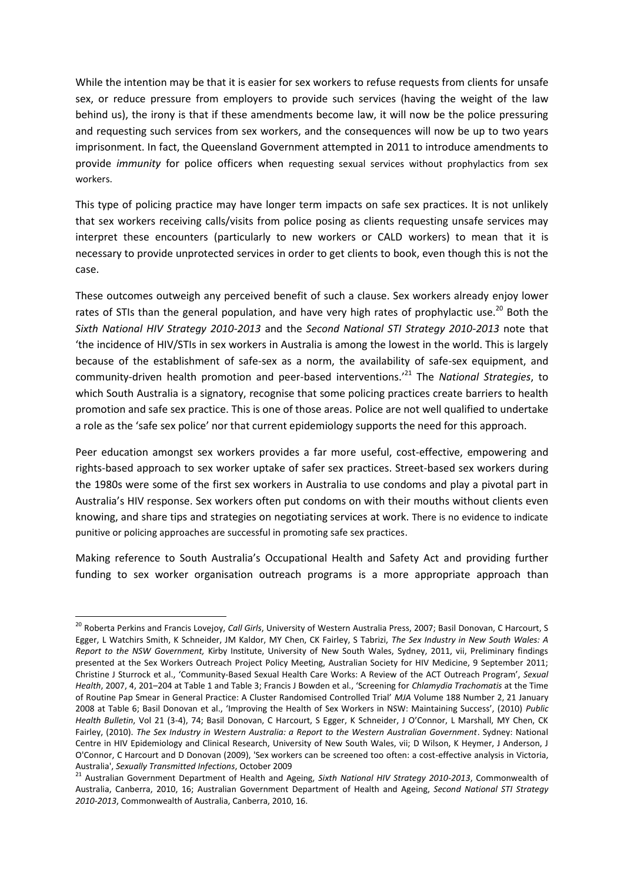While the intention may be that it is easier for sex workers to refuse requests from clients for unsafe sex, or reduce pressure from employers to provide such services (having the weight of the law behind us), the irony is that if these amendments become law, it will now be the police pressuring and requesting such services from sex workers, and the consequences will now be up to two years imprisonment. In fact, the Queensland Government attempted in 2011 to introduce amendments to provide *immunity* for police officers when requesting sexual services without prophylactics from sex workers.

This type of policing practice may have longer term impacts on safe sex practices. It is not unlikely that sex workers receiving calls/visits from police posing as clients requesting unsafe services may interpret these encounters (particularly to new workers or CALD workers) to mean that it is necessary to provide unprotected services in order to get clients to book, even though this is not the case.

These outcomes outweigh any perceived benefit of such a clause. Sex workers already enjoy lower rates of STIs than the general population, and have very high rates of prophylactic use.<sup>20</sup> Both the *Sixth National HIV Strategy 2010-2013* and the *Second National STI Strategy 2010-2013* note that 'the incidence of HIV/STIs in sex workers in Australia is among the lowest in the world. This is largely because of the establishment of safe-sex as a norm, the availability of safe-sex equipment, and community-driven health promotion and peer-based interventions.'<sup>21</sup> The *National Strategies*, to which South Australia is a signatory, recognise that some policing practices create barriers to health promotion and safe sex practice. This is one of those areas. Police are not well qualified to undertake a role as the 'safe sex police' nor that current epidemiology supports the need for this approach.

Peer education amongst sex workers provides a far more useful, cost-effective, empowering and rights-based approach to sex worker uptake of safer sex practices. Street-based sex workers during the 1980s were some of the first sex workers in Australia to use condoms and play a pivotal part in Australia's HIV response. Sex workers often put condoms on with their mouths without clients even knowing, and share tips and strategies on negotiating services at work. There is no evidence to indicate punitive or policing approaches are successful in promoting safe sex practices.

Making reference to South Australia's Occupational Health and Safety Act and providing further funding to sex worker organisation outreach programs is a more appropriate approach than

<sup>20</sup> Roberta Perkins and Francis Lovejoy, *Call Girls*, University of Western Australia Press, 2007; Basil Donovan, C Harcourt, S Egger, L Watchirs Smith, K Schneider, JM Kaldor, MY Chen, CK Fairley, S Tabrizi, *The Sex Industry in New South Wales: A Report to the NSW Government,* Kirby Institute, University of New South Wales, Sydney, 2011, vii, Preliminary findings presented at the Sex Workers Outreach Project Policy Meeting, Australian Society for HIV Medicine, 9 September 2011; Christine J Sturrock et al., 'Community-Based Sexual Health Care Works: A Review of the ACT Outreach Program', *Sexual Health*, 2007, 4, 201–204 at Table 1 and Table 3; Francis J Bowden et al., 'Screening for *Chlamydia Trachomatis* at the Time of Routine Pap Smear in General Practice: A Cluster Randomised Controlled Trial' *MJA* Volume 188 Number 2, 21 January 2008 at Table 6; Basil Donovan et al., 'Improving the Health of Sex Workers in NSW: Maintaining Success', (2010) *Public Health Bulletin*, Vol 21 (3-4), 74; Basil Donovan, C Harcourt, S Egger, K Schneider, J O'Connor, L Marshall, MY Chen, CK Fairley, (2010). *The Sex Industry in Western Australia: a Report to the Western Australian Government*. Sydney: National Centre in HIV Epidemiology and Clinical Research, University of New South Wales, vii; D Wilson, K Heymer, J Anderson, J O'Connor, C Harcourt and D Donovan (2009), 'Sex workers can be screened too often: a cost-effective analysis in Victoria, Australia', *Sexually Transmitted Infections*, October 2009

<sup>21</sup> Australian Government Department of Health and Ageing, *Sixth National HIV Strategy 2010-2013*, Commonwealth of Australia, Canberra, 2010, 16; Australian Government Department of Health and Ageing, *Second National STI Strategy 2010-2013*, Commonwealth of Australia, Canberra, 2010, 16.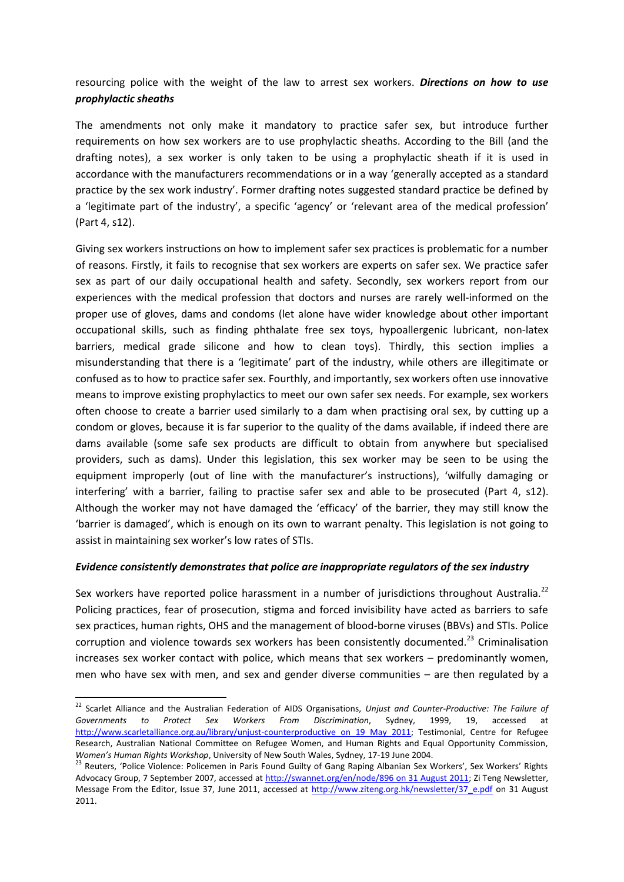resourcing police with the weight of the law to arrest sex workers. *Directions on how to use prophylactic sheaths* 

The amendments not only make it mandatory to practice safer sex, but introduce further requirements on how sex workers are to use prophylactic sheaths. According to the Bill (and the drafting notes), a sex worker is only taken to be using a prophylactic sheath if it is used in accordance with the manufacturers recommendations or in a way 'generally accepted as a standard practice by the sex work industry'. Former drafting notes suggested standard practice be defined by a 'legitimate part of the industry', a specific 'agency' or 'relevant area of the medical profession' (Part 4, s12).

Giving sex workers instructions on how to implement safer sex practices is problematic for a number of reasons. Firstly, it fails to recognise that sex workers are experts on safer sex. We practice safer sex as part of our daily occupational health and safety. Secondly, sex workers report from our experiences with the medical profession that doctors and nurses are rarely well-informed on the proper use of gloves, dams and condoms (let alone have wider knowledge about other important occupational skills, such as finding phthalate free sex toys, hypoallergenic lubricant, non-latex barriers, medical grade silicone and how to clean toys). Thirdly, this section implies a misunderstanding that there is a 'legitimate' part of the industry, while others are illegitimate or confused as to how to practice safer sex. Fourthly, and importantly, sex workers often use innovative means to improve existing prophylactics to meet our own safer sex needs. For example, sex workers often choose to create a barrier used similarly to a dam when practising oral sex, by cutting up a condom or gloves, because it is far superior to the quality of the dams available, if indeed there are dams available (some safe sex products are difficult to obtain from anywhere but specialised providers, such as dams). Under this legislation, this sex worker may be seen to be using the equipment improperly (out of line with the manufacturer's instructions), 'wilfully damaging or interfering' with a barrier, failing to practise safer sex and able to be prosecuted (Part 4, s12). Although the worker may not have damaged the 'efficacy' of the barrier, they may still know the 'barrier is damaged', which is enough on its own to warrant penalty. This legislation is not going to assist in maintaining sex worker's low rates of STIs.

### *Evidence consistently demonstrates that police are inappropriate regulators of the sex industry*

Sex workers have reported police harassment in a number of jurisdictions throughout Australia.<sup>22</sup> Policing practices, fear of prosecution, stigma and forced invisibility have acted as barriers to safe sex practices, human rights, OHS and the management of blood-borne viruses (BBVs) and STIs. Police corruption and violence towards sex workers has been consistently documented.<sup>23</sup> Criminalisation increases sex worker contact with police, which means that sex workers – predominantly women, men who have sex with men, and sex and gender diverse communities – are then regulated by a

<sup>22</sup> Scarlet Alliance and the Australian Federation of AIDS Organisations, *Unjust and Counter-Productive: The Failure of Governments to Protect Sex Workers From Discrimination*, Sydney, 1999, 19, accessed at [http://www.scarletalliance.org.au/library/unjust-counterproductive on 19 May 2011;](http://www.scarletalliance.org.au/library/unjust-counterproductive%20on%2019%20May%202011) Testimonial, Centre for Refugee Research, Australian National Committee on Refugee Women, and Human Rights and Equal Opportunity Commission, *Women's Human Rights Workshop*, University of New South Wales, Sydney, 17-19 June 2004.

<sup>&</sup>lt;sup>23</sup> Reuters, 'Police Violence: Policemen in Paris Found Guilty of Gang Raping Albanian Sex Workers', Sex Workers' Rights Advocacy Group, 7 September 2007, accessed at [http://swannet.org/en/node/896 on 31 August 2011;](http://swannet.org/en/node/896%20on%2031%20August%202011) Zi Teng Newsletter, Message From the Editor, Issue 37, June 2011, accessed at [http://www.ziteng.org.hk/newsletter/37\\_e.pdf](http://www.ziteng.org.hk/newsletter/37_e.pdf) on 31 August 2011.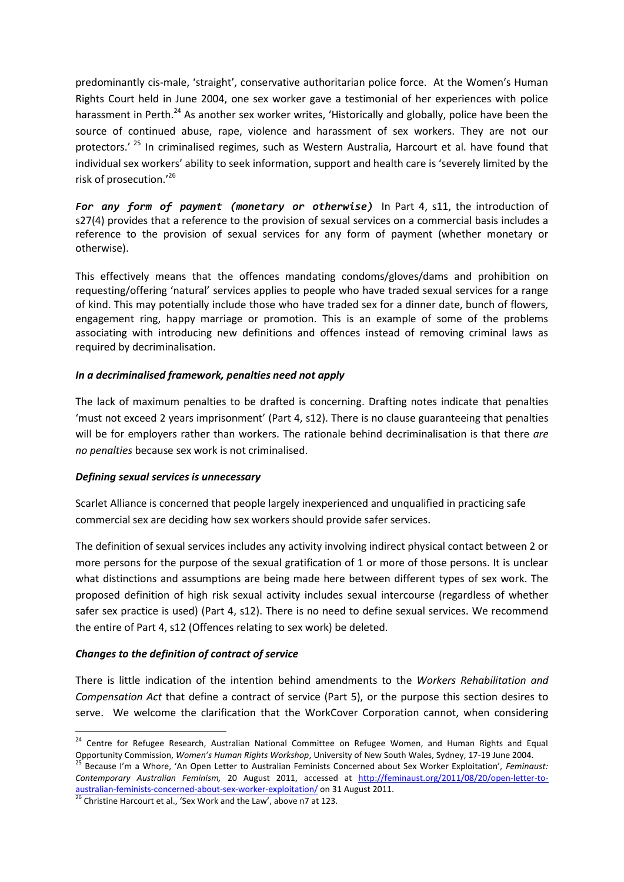predominantly cis-male, 'straight', conservative authoritarian police force. At the Women's Human Rights Court held in June 2004, one sex worker gave a testimonial of her experiences with police harassment in Perth.<sup>24</sup> As another sex worker writes, 'Historically and globally, police have been the source of continued abuse, rape, violence and harassment of sex workers. They are not our protectors.<sup>' 25</sup> In criminalised regimes, such as Western Australia, Harcourt et al. have found that individual sex workers' ability to seek information, support and health care is 'severely limited by the risk of prosecution.'<sup>26</sup>

*For any form of payment (monetary or otherwise)* In Part 4, s11, the introduction of s27(4) provides that a reference to the provision of sexual services on a commercial basis includes a reference to the provision of sexual services for any form of payment (whether monetary or otherwise).

This effectively means that the offences mandating condoms/gloves/dams and prohibition on requesting/offering 'natural' services applies to people who have traded sexual services for a range of kind. This may potentially include those who have traded sex for a dinner date, bunch of flowers, engagement ring, happy marriage or promotion. This is an example of some of the problems associating with introducing new definitions and offences instead of removing criminal laws as required by decriminalisation.

### *In a decriminalised framework, penalties need not apply*

The lack of maximum penalties to be drafted is concerning. Drafting notes indicate that penalties 'must not exceed 2 years imprisonment' (Part 4, s12). There is no clause guaranteeing that penalties will be for employers rather than workers. The rationale behind decriminalisation is that there *are no penalties* because sex work is not criminalised.

### *Defining sexual services is unnecessary*

Scarlet Alliance is concerned that people largely inexperienced and unqualified in practicing safe commercial sex are deciding how sex workers should provide safer services.

The definition of sexual services includes any activity involving indirect physical contact between 2 or more persons for the purpose of the sexual gratification of 1 or more of those persons. It is unclear what distinctions and assumptions are being made here between different types of sex work. The proposed definition of high risk sexual activity includes sexual intercourse (regardless of whether safer sex practice is used) (Part 4, s12). There is no need to define sexual services. We recommend the entire of Part 4, s12 (Offences relating to sex work) be deleted.

# *Changes to the definition of contract of service*

**.** 

There is little indication of the intention behind amendments to the *Workers Rehabilitation and Compensation Act* that define a contract of service (Part 5), or the purpose this section desires to serve. We welcome the clarification that the WorkCover Corporation cannot, when considering

<sup>&</sup>lt;sup>24</sup> Centre for Refugee Research, Australian National Committee on Refugee Women, and Human Rights and Equal Opportunity Commission, *Women's Human Rights Workshop*, University of New South Wales, Sydney, 17-19 June 2004. <sup>25</sup> Because I'm a Whore, 'An Open Letter to Australian Feminists Concerned about Sex Worker Exploitation', *Feminaust: Contemporary Australian Feminism,* 20 August 2011, accessed at [http://feminaust.org/2011/08/20/open-letter-to-](http://feminaust.org/2011/08/20/open-letter-to-australian-feminists-concerned-about-sex-worker-exploitation/)

[australian-feminists-concerned-about-sex-worker-exploitation/](http://feminaust.org/2011/08/20/open-letter-to-australian-feminists-concerned-about-sex-worker-exploitation/) on 31 August 2011.

 $26$  Christine Harcourt et al., 'Sex Work and the Law', above n7 at 123.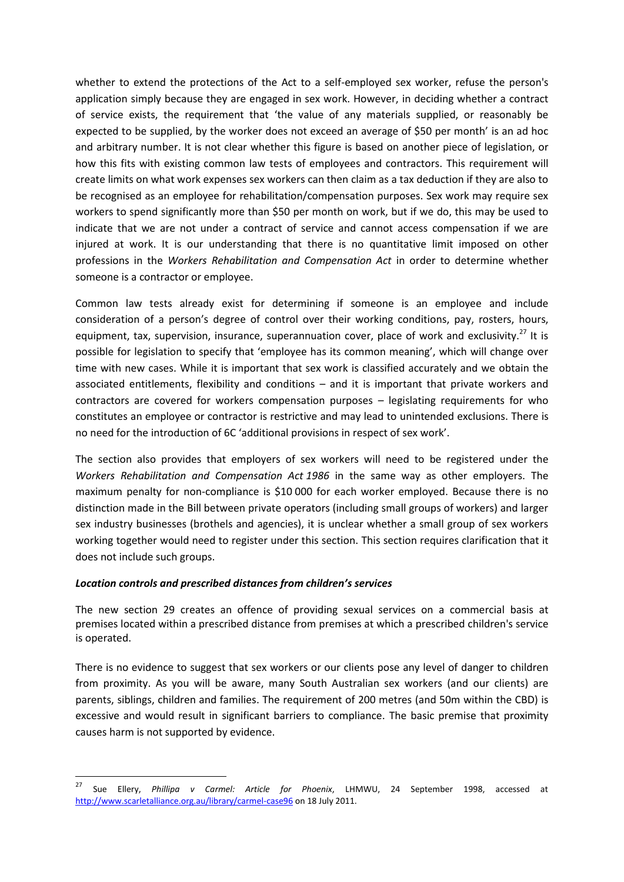whether to extend the protections of the Act to a self-employed sex worker, refuse the person's application simply because they are engaged in sex work. However, in deciding whether a contract of service exists, the requirement that 'the value of any materials supplied, or reasonably be expected to be supplied, by the worker does not exceed an average of \$50 per month' is an ad hoc and arbitrary number. It is not clear whether this figure is based on another piece of legislation, or how this fits with existing common law tests of employees and contractors. This requirement will create limits on what work expenses sex workers can then claim as a tax deduction if they are also to be recognised as an employee for rehabilitation/compensation purposes. Sex work may require sex workers to spend significantly more than \$50 per month on work, but if we do, this may be used to indicate that we are not under a contract of service and cannot access compensation if we are injured at work. It is our understanding that there is no quantitative limit imposed on other professions in the *Workers Rehabilitation and Compensation Act* in order to determine whether someone is a contractor or employee.

Common law tests already exist for determining if someone is an employee and include consideration of a person's degree of control over their working conditions, pay, rosters, hours, equipment, tax, supervision, insurance, superannuation cover, place of work and exclusivity.<sup>27</sup> It is possible for legislation to specify that 'employee has its common meaning', which will change over time with new cases. While it is important that sex work is classified accurately and we obtain the associated entitlements, flexibility and conditions – and it is important that private workers and contractors are covered for workers compensation purposes – legislating requirements for who constitutes an employee or contractor is restrictive and may lead to unintended exclusions. There is no need for the introduction of 6C 'additional provisions in respect of sex work'.

The section also provides that employers of sex workers will need to be registered under the *Workers Rehabilitation and Compensation Act 1986* in the same way as other employers. The maximum penalty for non-compliance is \$10 000 for each worker employed. Because there is no distinction made in the Bill between private operators (including small groups of workers) and larger sex industry businesses (brothels and agencies), it is unclear whether a small group of sex workers working together would need to register under this section. This section requires clarification that it does not include such groups.

### *Location controls and prescribed distances from children's services*

The new section 29 creates an offence of providing sexual services on a commercial basis at premises located within a prescribed distance from premises at which a prescribed children's service is operated.

There is no evidence to suggest that sex workers or our clients pose any level of danger to children from proximity. As you will be aware, many South Australian sex workers (and our clients) are parents, siblings, children and families. The requirement of 200 metres (and 50m within the CBD) is excessive and would result in significant barriers to compliance. The basic premise that proximity causes harm is not supported by evidence.

<sup>27</sup> <sup>27</sup> Sue Ellery, *Phillipa v Carmel: Article for Phoenix*, LHMWU, 24 September 1998, accessed at <http://www.scarletalliance.org.au/library/carmel-case96> on 18 July 2011.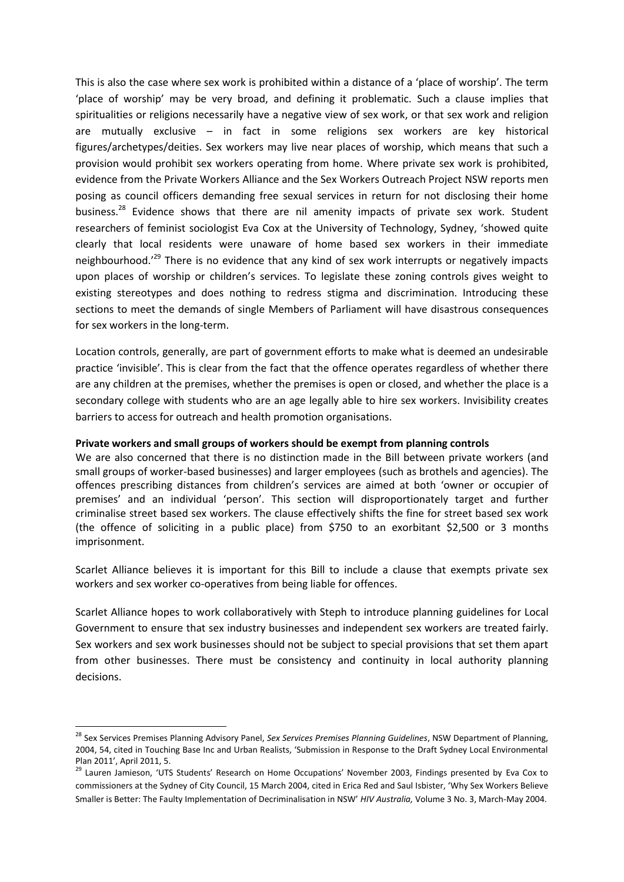This is also the case where sex work is prohibited within a distance of a 'place of worship'. The term 'place of worship' may be very broad, and defining it problematic. Such a clause implies that spiritualities or religions necessarily have a negative view of sex work, or that sex work and religion are mutually exclusive – in fact in some religions sex workers are key historical figures/archetypes/deities. Sex workers may live near places of worship, which means that such a provision would prohibit sex workers operating from home. Where private sex work is prohibited, evidence from the Private Workers Alliance and the Sex Workers Outreach Project NSW reports men posing as council officers demanding free sexual services in return for not disclosing their home business.<sup>28</sup> Evidence shows that there are nil amenity impacts of private sex work. Student researchers of feminist sociologist Eva Cox at the University of Technology, Sydney, 'showed quite clearly that local residents were unaware of home based sex workers in their immediate neighbourhood.<sup>'29</sup> There is no evidence that any kind of sex work interrupts or negatively impacts upon places of worship or children's services. To legislate these zoning controls gives weight to existing stereotypes and does nothing to redress stigma and discrimination. Introducing these sections to meet the demands of single Members of Parliament will have disastrous consequences for sex workers in the long-term.

Location controls, generally, are part of government efforts to make what is deemed an undesirable practice 'invisible'. This is clear from the fact that the offence operates regardless of whether there are any children at the premises, whether the premises is open or closed, and whether the place is a secondary college with students who are an age legally able to hire sex workers. Invisibility creates barriers to access for outreach and health promotion organisations.

#### **Private workers and small groups of workers should be exempt from planning controls**

We are also concerned that there is no distinction made in the Bill between private workers (and small groups of worker-based businesses) and larger employees (such as brothels and agencies). The offences prescribing distances from children's services are aimed at both 'owner or occupier of premises' and an individual 'person'. This section will disproportionately target and further criminalise street based sex workers. The clause effectively shifts the fine for street based sex work (the offence of soliciting in a public place) from \$750 to an exorbitant \$2,500 or 3 months imprisonment.

Scarlet Alliance believes it is important for this Bill to include a clause that exempts private sex workers and sex worker co-operatives from being liable for offences.

Scarlet Alliance hopes to work collaboratively with Steph to introduce planning guidelines for Local Government to ensure that sex industry businesses and independent sex workers are treated fairly. Sex workers and sex work businesses should not be subject to special provisions that set them apart from other businesses. There must be consistency and continuity in local authority planning decisions.

<sup>28</sup> Sex Services Premises Planning Advisory Panel, *Sex Services Premises Planning Guidelines*, NSW Department of Planning, 2004, 54, cited in Touching Base Inc and Urban Realists, 'Submission in Response to the Draft Sydney Local Environmental Plan 2011', April 2011, 5.

<sup>&</sup>lt;sup>29</sup> Lauren Jamieson, 'UTS Students' Research on Home Occupations' November 2003, Findings presented by Eva Cox to commissioners at the Sydney of City Council, 15 March 2004, cited in Erica Red and Saul Isbister, 'Why Sex Workers Believe Smaller is Better: The Faulty Implementation of Decriminalisation in NSW' *HIV Australia,* Volume 3 No. 3, March-May 2004.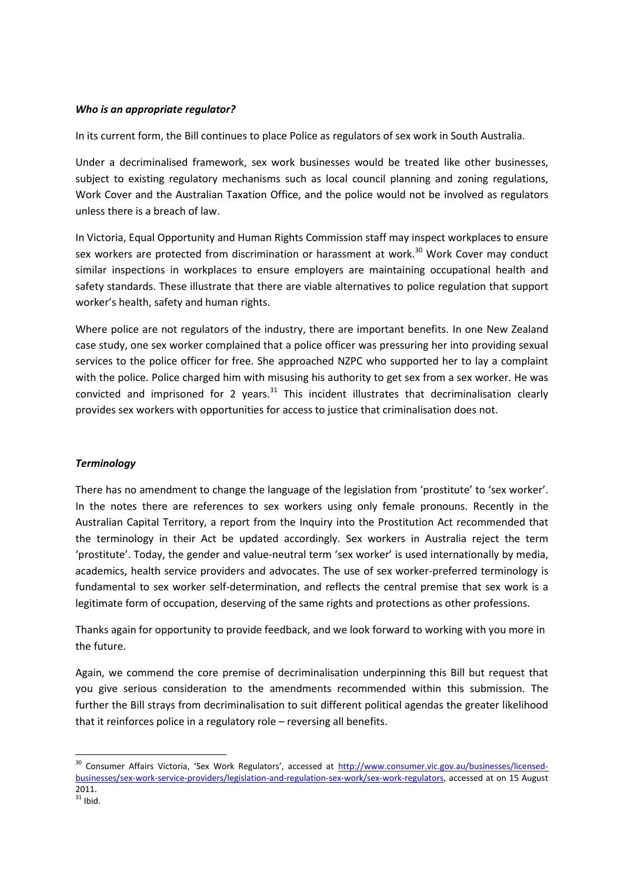### *Who is an appropriate regulator?*

In its current form, the Bill continues to place Police as regulators of sex work in South Australia.

Under a decriminalised framework, sex work businesses would be treated like other businesses, subject to existing regulatory mechanisms such as local council planning and zoning regulations, Work Cover and the Australian Taxation Office, and the police would not be involved as regulators unless there is a breach of law.

In Victoria, Equal Opportunity and Human Rights Commission staff may inspect workplaces to ensure sex workers are protected from discrimination or harassment at work.<sup>30</sup> Work Cover may conduct similar inspections in workplaces to ensure employers are maintaining occupational health and safety standards. These illustrate that there are viable alternatives to police regulation that support worker's health, safety and human rights.

Where police are not regulators of the industry, there are important benefits. In one New Zealand case study, one sex worker complained that a police officer was pressuring her into providing sexual services to the police officer for free. She approached NZPC who supported her to lay a complaint with the police. Police charged him with misusing his authority to get sex from a sex worker. He was convicted and imprisoned for 2 years. $31$  This incident illustrates that decriminalisation clearly provides sex workers with opportunities for access to justice that criminalisation does not.

# *Terminology*

There has no amendment to change the language of the legislation from 'prostitute' to 'sex worker'. In the notes there are references to sex workers using only female pronouns. Recently in the Australian Capital Territory, a report from the Inquiry into the Prostitution Act recommended that the terminology in their Act be updated accordingly. Sex workers in Australia reject the term 'prostitute'. Today, the gender and value-neutral term 'sex worker' is used internationally by media, academics, health service providers and advocates. The use of sex worker-preferred terminology is fundamental to sex worker self-determination, and reflects the central premise that sex work is a legitimate form of occupation, deserving of the same rights and protections as other professions.

Thanks again for opportunity to provide feedback, and we look forward to working with you more in the future.

Again, we commend the core premise of decriminalisation underpinning this Bill but request that you give serious consideration to the amendments recommended within this submission. The further the Bill strays from decriminalisation to suit different political agendas the greater likelihood that it reinforces police in a regulatory role – reversing all benefits.

<sup>&</sup>lt;sup>30</sup> Consumer Affairs Victoria, 'Sex Work Regulators', accessed at [http://www.consumer.vic.gov.au/businesses/licensed](http://www.consumer.vic.gov.au/businesses/licensed-businesses/sex-work-service-providers/legislation-and-regulation-sex-work/sex-work-regulators)[businesses/sex-work-service-providers/legislation-and-regulation-sex-work/sex-work-regulators,](http://www.consumer.vic.gov.au/businesses/licensed-businesses/sex-work-service-providers/legislation-and-regulation-sex-work/sex-work-regulators) accessed at on 15 August 2011.

 $31$  Ibid.